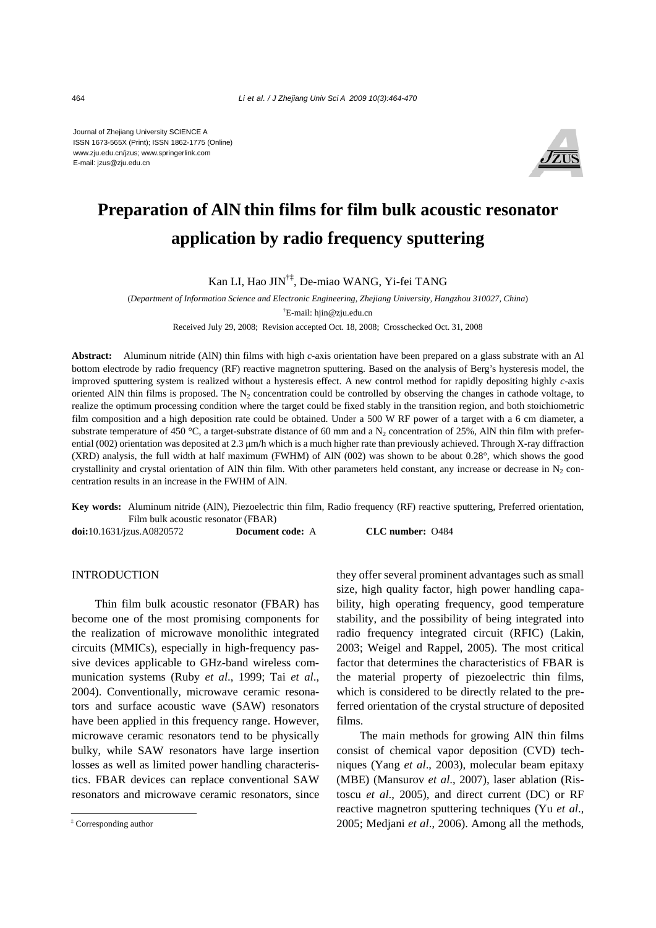Journal of Zhejiang University SCIENCE A ISSN 1673-565X (Print); ISSN 1862-1775 (Online) www.zju.edu.cn/jzus; www.springerlink.com E-mail: jzus@zju.edu.cn



# **Preparation of AlN thin films for film bulk acoustic resonator application by radio frequency sputtering**

## Kan LI, Hao JIN†‡, De-miao WANG, Yi-fei TANG

(*Department of Information Science and Electronic Engineering, Zhejiang University, Hangzhou 310027, China*) † E-mail: hjin@zju.edu.cn

Received July 29, 2008; Revision accepted Oct. 18, 2008; Crosschecked Oct. 31, 2008

**Abstract:** Aluminum nitride (AlN) thin films with high *c*-axis orientation have been prepared on a glass substrate with an Al bottom electrode by radio frequency (RF) reactive magnetron sputtering. Based on the analysis of Berg's hysteresis model, the improved sputtering system is realized without a hysteresis effect. A new control method for rapidly depositing highly *c*-axis oriented AlN thin films is proposed. The  $N<sub>2</sub>$  concentration could be controlled by observing the changes in cathode voltage, to realize the optimum processing condition where the target could be fixed stably in the transition region, and both stoichiometric film composition and a high deposition rate could be obtained. Under a 500 W RF power of a target with a 6 cm diameter, a substrate temperature of 450 °C, a target-substrate distance of 60 mm and a  $N_2$  concentration of 25%, AlN thin film with preferential (002) orientation was deposited at 2.3 μm/h which is a much higher rate than previously achieved. Through X-ray diffraction (XRD) analysis, the full width at half maximum (FWHM) of AlN (002) was shown to be about 0.28°, which shows the good crystallinity and crystal orientation of AlN thin film. With other parameters held constant, any increase or decrease in  $N<sub>2</sub>$  concentration results in an increase in the FWHM of AlN.

**Key words:** Aluminum nitride (AlN), Piezoelectric thin film, Radio frequency (RF) reactive sputtering, Preferred orientation, Film bulk acoustic resonator (FBAR) **doi:**10.1631/jzus.A0820572 **Document code:** A **CLC number:** O484

#### INTRODUCTION

Thin film bulk acoustic resonator (FBAR) has become one of the most promising components for the realization of microwave monolithic integrated circuits (MMICs), especially in high-frequency passive devices applicable to GHz-band wireless communication systems (Ruby *et al*., 1999; Tai *et al*., 2004). Conventionally, microwave ceramic resonators and surface acoustic wave (SAW) resonators have been applied in this frequency range. However, microwave ceramic resonators tend to be physically bulky, while SAW resonators have large insertion losses as well as limited power handling characteristics. FBAR devices can replace conventional SAW resonators and microwave ceramic resonators, since

they offer several prominent advantages such as small size, high quality factor, high power handling capability, high operating frequency, good temperature stability, and the possibility of being integrated into radio frequency integrated circuit (RFIC) (Lakin, 2003; Weigel and Rappel, 2005). The most critical factor that determines the characteristics of FBAR is the material property of piezoelectric thin films, which is considered to be directly related to the preferred orientation of the crystal structure of deposited films.

The main methods for growing AlN thin films consist of chemical vapor deposition (CVD) techniques (Yang *et al*., 2003), molecular beam epitaxy (MBE) (Mansurov *et al*., 2007), laser ablation (Ristoscu *et al*., 2005), and direct current (DC) or RF reactive magnetron sputtering techniques (Yu *et al*., 2005; Medjani *et al*., 2006). Among all the methods,

<sup>‡</sup> Corresponding author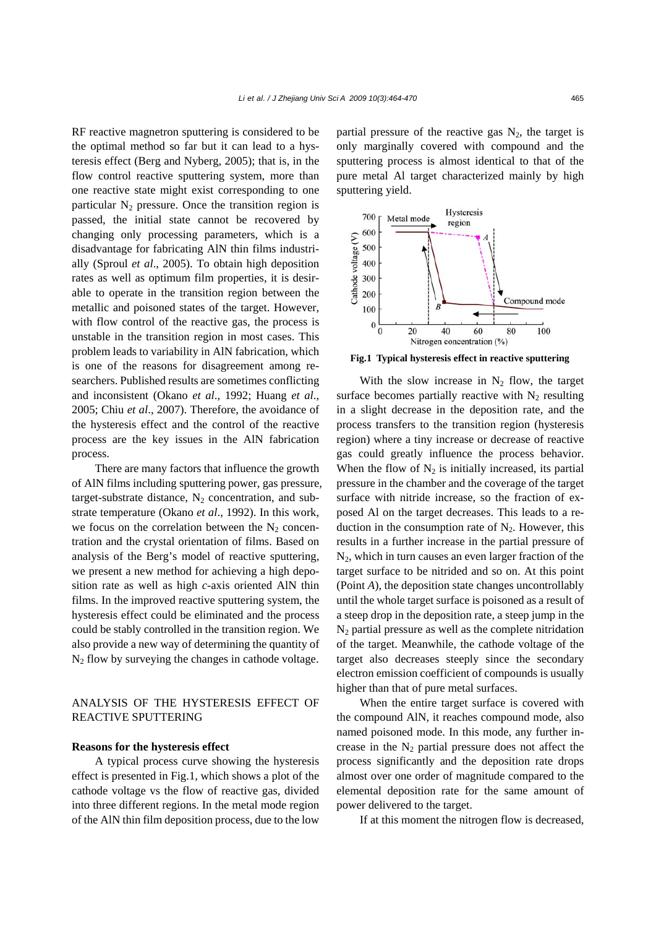RF reactive magnetron sputtering is considered to be the optimal method so far but it can lead to a hysteresis effect (Berg and Nyberg, 2005); that is, in the flow control reactive sputtering system, more than one reactive state might exist corresponding to one particular  $N_2$  pressure. Once the transition region is passed, the initial state cannot be recovered by changing only processing parameters, which is a disadvantage for fabricating AlN thin films industrially (Sproul *et al*., 2005). To obtain high deposition rates as well as optimum film properties, it is desirable to operate in the transition region between the metallic and poisoned states of the target. However, with flow control of the reactive gas, the process is unstable in the transition region in most cases. This problem leads to variability in AlN fabrication, which is one of the reasons for disagreement among researchers. Published results are sometimes conflicting and inconsistent (Okano *et al*., 1992; Huang *et al*., 2005; Chiu *et al*., 2007). Therefore, the avoidance of the hysteresis effect and the control of the reactive process are the key issues in the AlN fabrication process.

There are many factors that influence the growth of AlN films including sputtering power, gas pressure, target-substrate distance,  $N_2$  concentration, and substrate temperature (Okano *et al*., 1992). In this work, we focus on the correlation between the  $N<sub>2</sub>$  concentration and the crystal orientation of films. Based on analysis of the Berg's model of reactive sputtering, we present a new method for achieving a high deposition rate as well as high *c*-axis oriented AlN thin films. In the improved reactive sputtering system, the hysteresis effect could be eliminated and the process could be stably controlled in the transition region. We also provide a new way of determining the quantity of  $N_2$  flow by surveying the changes in cathode voltage.

## ANALYSIS OF THE HYSTERESIS EFFECT OF REACTIVE SPUTTERING

## **Reasons for the hysteresis effect**

A typical process curve showing the hysteresis effect is presented in Fig.1, which shows a plot of the cathode voltage vs the flow of reactive gas, divided into three different regions. In the metal mode region of the AlN thin film deposition process, due to the low partial pressure of the reactive gas  $N_2$ , the target is only marginally covered with compound and the sputtering process is almost identical to that of the pure metal Al target characterized mainly by high sputtering yield.



**Fig.1 Typical hysteresis effect in reactive sputtering**

With the slow increase in  $N_2$  flow, the target surface becomes partially reactive with  $N_2$  resulting in a slight decrease in the deposition rate, and the process transfers to the transition region (hysteresis region) where a tiny increase or decrease of reactive gas could greatly influence the process behavior. When the flow of  $N_2$  is initially increased, its partial pressure in the chamber and the coverage of the target surface with nitride increase, so the fraction of exposed Al on the target decreases. This leads to a reduction in the consumption rate of  $N<sub>2</sub>$ . However, this results in a further increase in the partial pressure of  $N_2$ , which in turn causes an even larger fraction of the target surface to be nitrided and so on. At this point (Point *A*), the deposition state changes uncontrollably until the whole target surface is poisoned as a result of a steep drop in the deposition rate, a steep jump in the  $N_2$  partial pressure as well as the complete nitridation of the target. Meanwhile, the cathode voltage of the target also decreases steeply since the secondary electron emission coefficient of compounds is usually higher than that of pure metal surfaces.

When the entire target surface is covered with the compound AlN, it reaches compound mode, also named poisoned mode. In this mode, any further increase in the  $N_2$  partial pressure does not affect the process significantly and the deposition rate drops almost over one order of magnitude compared to the elemental deposition rate for the same amount of power delivered to the target.

If at this moment the nitrogen flow is decreased,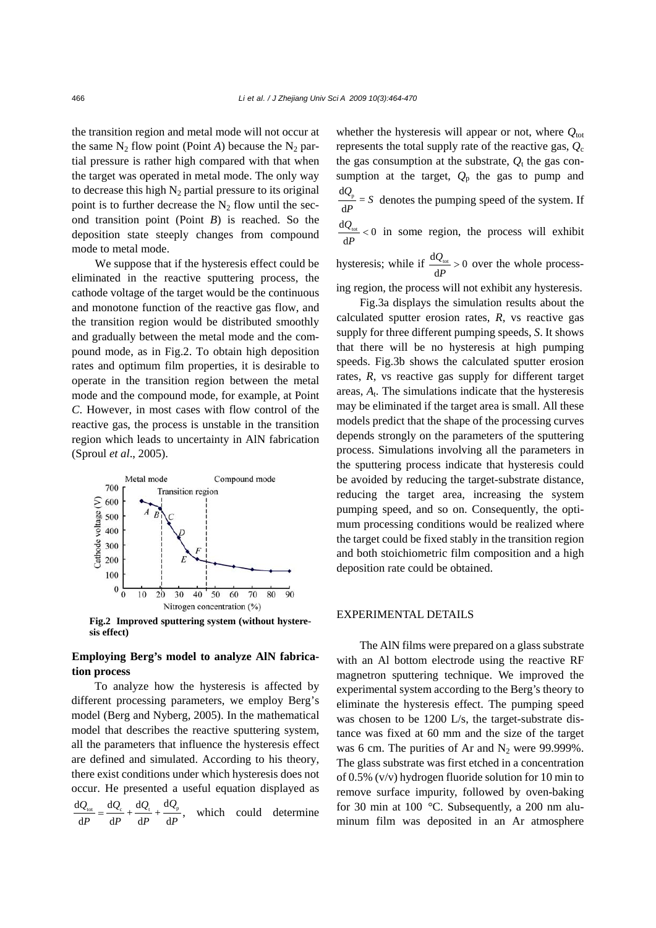the transition region and metal mode will not occur at the same  $N_2$  flow point (Point *A*) because the  $N_2$  partial pressure is rather high compared with that when the target was operated in metal mode. The only way to decrease this high  $N_2$  partial pressure to its original point is to further decrease the  $N_2$  flow until the second transition point (Point *B*) is reached. So the deposition state steeply changes from compound mode to metal mode.

We suppose that if the hysteresis effect could be eliminated in the reactive sputtering process, the cathode voltage of the target would be the continuous and monotone function of the reactive gas flow, and the transition region would be distributed smoothly and gradually between the metal mode and the compound mode, as in Fig.2. To obtain high deposition rates and optimum film properties, it is desirable to operate in the transition region between the metal mode and the compound mode, for example, at Point *C*. However, in most cases with flow control of the reactive gas, the process is unstable in the transition region which leads to uncertainty in AlN fabrication (Sproul *et al*., 2005).



**Fig.2 Improved sputtering system (without hysteresis effect)** 

## **Employing Berg's model to analyze AlN fabrication process**

To analyze how the hysteresis is affected by different processing parameters, we employ Berg's model (Berg and Nyberg, 2005). In the mathematical model that describes the reactive sputtering system, all the parameters that influence the hysteresis effect are defined and simulated. According to his theory, there exist conditions under which hysteresis does not occur. He presented a useful equation displayed as  $\frac{dQ_{\text{tot}}}{dp} = \frac{dQ_{\text{c}}}{dp} + \frac{dQ_{\text{p}}}{dp} + \frac{dQ_{\text{p}}}{dp}$ , which could determine whether the hysteresis will appear or not, where  $Q_{\text{tot}}$ represents the total supply rate of the reactive gas,  $Q_c$ the gas consumption at the substrate,  $Q_t$  the gas consumption at the target,  $Q_p$  the gas to pump and  $\frac{dQ_p}{dP} = S$  denotes the pumping speed of the system. If

 $\frac{\mathrm{d}Q_{\text{\tiny tot}}}{\mathrm{d}Q}$  < 0 *Q*

d *P*  $< 0$  in some region, the process will exhibit

hysteresis; while if  $\frac{dQ_{\text{tot}}}{dt} > 0$ d *Q P* > over the whole processing region, the process will not exhibit any hysteresis.

Fig.3a displays the simulation results about the calculated sputter erosion rates, *R*, vs reactive gas supply for three different pumping speeds, *S*. It shows that there will be no hysteresis at high pumping speeds. Fig.3b shows the calculated sputter erosion rates, *R*, vs reactive gas supply for different target areas, *A*t. The simulations indicate that the hysteresis may be eliminated if the target area is small. All these models predict that the shape of the processing curves depends strongly on the parameters of the sputtering process. Simulations involving all the parameters in the sputtering process indicate that hysteresis could be avoided by reducing the target-substrate distance, reducing the target area, increasing the system pumping speed, and so on. Consequently, the optimum processing conditions would be realized where the target could be fixed stably in the transition region and both stoichiometric film composition and a high deposition rate could be obtained.

### EXPERIMENTAL DETAILS

The AlN films were prepared on a glass substrate with an Al bottom electrode using the reactive RF magnetron sputtering technique. We improved the experimental system according to the Berg's theory to eliminate the hysteresis effect. The pumping speed was chosen to be 1200 L/s, the target-substrate distance was fixed at 60 mm and the size of the target was 6 cm. The purities of Ar and  $N_2$  were 99.999%. The glass substrate was first etched in a concentration of 0.5% (v/v) hydrogen fluoride solution for 10 min to remove surface impurity, followed by oven-baking for 30 min at 100 °C. Subsequently, a 200 nm aluminum film was deposited in an Ar atmosphere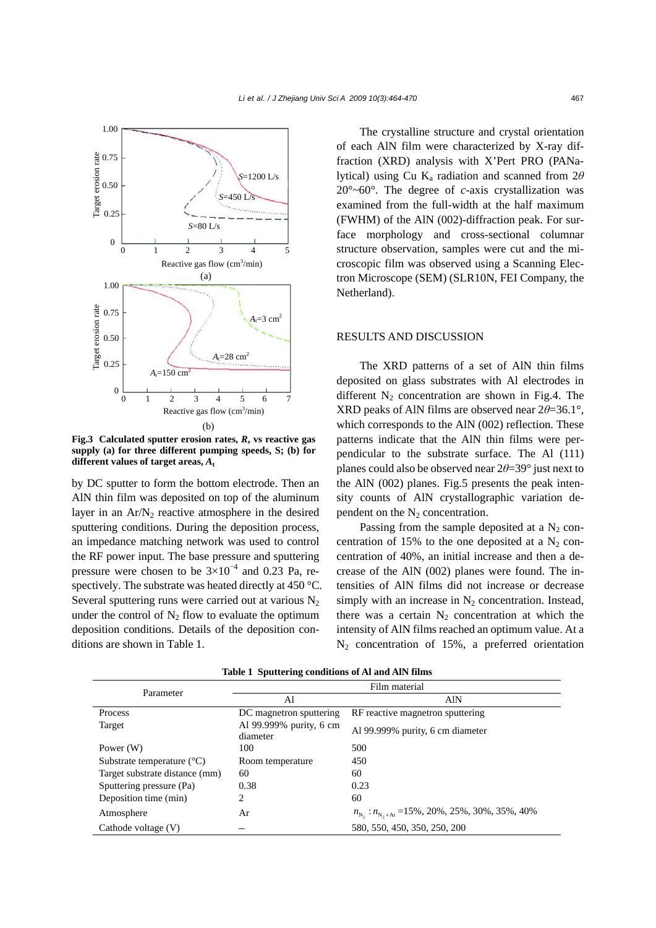

**Fig.3 Calculated sputter erosion rates,** *R***, vs reactive gas supply (a) for three different pumping speeds, S; (b) for different values of target areas,** *A***<sup>t</sup>**

by DC sputter to form the bottom electrode. Then an AlN thin film was deposited on top of the aluminum layer in an  $Ar/N_2$  reactive atmosphere in the desired sputtering conditions. During the deposition process, an impedance matching network was used to control the RF power input. The base pressure and sputtering pressure were chosen to be  $3\times10^{-4}$  and 0.23 Pa, respectively. The substrate was heated directly at 450 °C. Several sputtering runs were carried out at various N<sub>2</sub> under the control of  $N_2$  flow to evaluate the optimum deposition conditions. Details of the deposition conditions are shown in Table 1.

The crystalline structure and crystal orientation of each AlN film were characterized by X-ray diffraction (XRD) analysis with X'Pert PRO (PANalytical) using Cu K<sub>a</sub> radiation and scanned from  $2\theta$  $20^{\circ}$ ~60°. The degree of *c*-axis crystallization was examined from the full-width at the half maximum (FWHM) of the AlN (002)-diffraction peak. For surface morphology and cross-sectional columnar structure observation, samples were cut and the microscopic film was observed using a Scanning Electron Microscope (SEM) (SLR10N, FEI Company, the Netherland).

#### RESULTS AND DISCUSSION

The XRD patterns of a set of AlN thin films deposited on glass substrates with Al electrodes in different  $N_2$  concentration are shown in Fig.4. The XRD peaks of AlN films are observed near 2*θ*=36.1°, which corresponds to the AlN (002) reflection. These patterns indicate that the AlN thin films were perpendicular to the substrate surface. The Al (111) planes could also be observed near 2*θ*=39° just next to the AlN (002) planes. Fig.5 presents the peak intensity counts of AlN crystallographic variation dependent on the  $N_2$  concentration.

Passing from the sample deposited at a  $N_2$  concentration of 15% to the one deposited at a  $N_2$  concentration of 40%, an initial increase and then a decrease of the AlN (002) planes were found. The intensities of AlN films did not increase or decrease simply with an increase in  $N_2$  concentration. Instead, there was a certain  $N_2$  concentration at which the intensity of AlN films reached an optimum value. At a  $N_2$  concentration of 15%, a preferred orientation

| Parameter                             | Film material                       |                                                                              |
|---------------------------------------|-------------------------------------|------------------------------------------------------------------------------|
|                                       | Al                                  | AlN                                                                          |
| Process                               | DC magnetron sputtering             | RF reactive magnetron sputtering                                             |
| Target                                | Al 99.999% purity, 6 cm<br>diameter | Al 99.999% purity, 6 cm diameter                                             |
| Power $(W)$                           | 100                                 | 500                                                                          |
| Substrate temperature $({}^{\circ}C)$ | Room temperature                    | 450                                                                          |
| Target substrate distance (mm)        | 60                                  | 60                                                                           |
| Sputtering pressure (Pa)              | 0.38                                | 0.23                                                                         |
| Deposition time (min)                 | 2                                   | 60                                                                           |
| Atmosphere                            | Ar                                  | $n_{\text{N}_2}$ : $n_{\text{N}_2+\text{Ar}}$ = 15%, 20%, 25%, 30%, 35%, 40% |
| Cathode voltage (V)                   |                                     | 580, 550, 450, 350, 250, 200                                                 |

**Table 1 Sputtering conditions of Al and AlN films**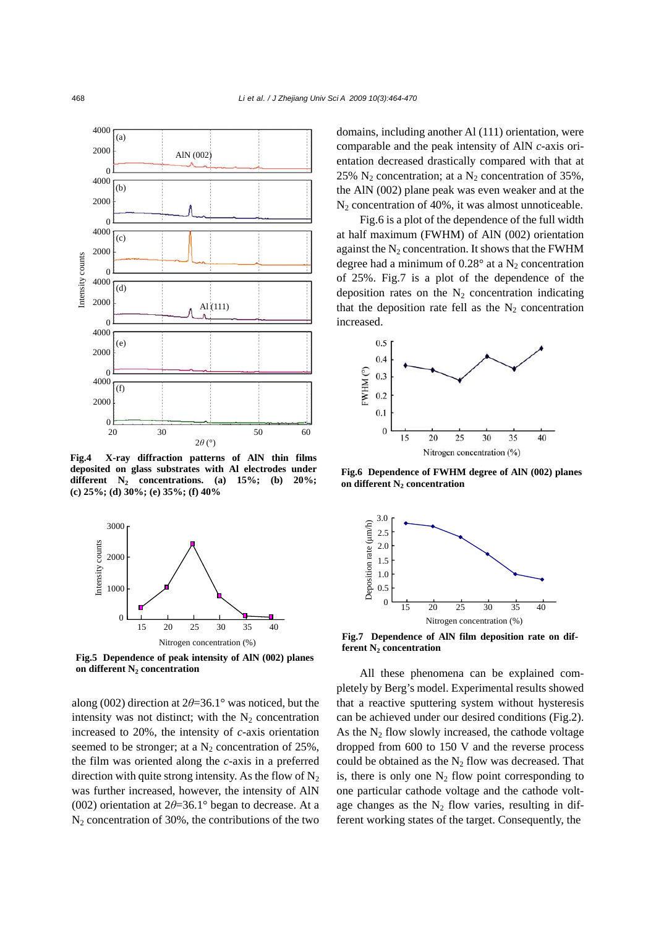

**Fig.4 X-ray diffraction patterns of AlN thin films deposited on glass substrates with Al electrodes under** different  $N_2$  concentrations. (a)  $15\%$ ; (b)  $20\%$ ; **(c) 25%; (d) 30%; (e) 35%; (f) 40%** 



**Fig.5 Dependence of peak intensity of AlN (002) planes** on different N<sub>2</sub> concentration

along (002) direction at 2*θ*=36.1° was noticed, but the intensity was not distinct; with the  $N_2$  concentration increased to 20%, the intensity of *c*-axis orientation seemed to be stronger; at a  $N_2$  concentration of 25%, the film was oriented along the *c*-axis in a preferred direction with quite strong intensity. As the flow of  $N_2$ was further increased, however, the intensity of AlN (002) orientation at 2*θ*=36.1° began to decrease. At a  $N_2$  concentration of 30%, the contributions of the two domains, including another Al (111) orientation, were comparable and the peak intensity of AlN *c*-axis orientation decreased drastically compared with that at 25%  $N_2$  concentration; at a  $N_2$  concentration of 35%, the AlN (002) plane peak was even weaker and at the  $N<sub>2</sub>$  concentration of 40%, it was almost unnoticeable.

Fig.6 is a plot of the dependence of the full width at half maximum (FWHM) of AlN (002) orientation against the  $N_2$  concentration. It shows that the FWHM degree had a minimum of  $0.28^{\circ}$  at a N<sub>2</sub> concentration of 25%. Fig.7 is a plot of the dependence of the deposition rates on the  $N_2$  concentration indicating that the deposition rate fell as the  $N_2$  concentration increased.



**Fig.6 Dependence of FWHM degree of AlN (002) planes** on different N<sub>2</sub> concentration



**Fig.7 Dependence of AlN film deposition rate on dif**ferent N<sub>2</sub> concentration

All these phenomena can be explained completely by Berg's model. Experimental results showed that a reactive sputtering system without hysteresis can be achieved under our desired conditions (Fig.2). As the  $N_2$  flow slowly increased, the cathode voltage dropped from 600 to 150 V and the reverse process could be obtained as the  $N_2$  flow was decreased. That is, there is only one  $N_2$  flow point corresponding to one particular cathode voltage and the cathode voltage changes as the  $N_2$  flow varies, resulting in different working states of the target. Consequently, the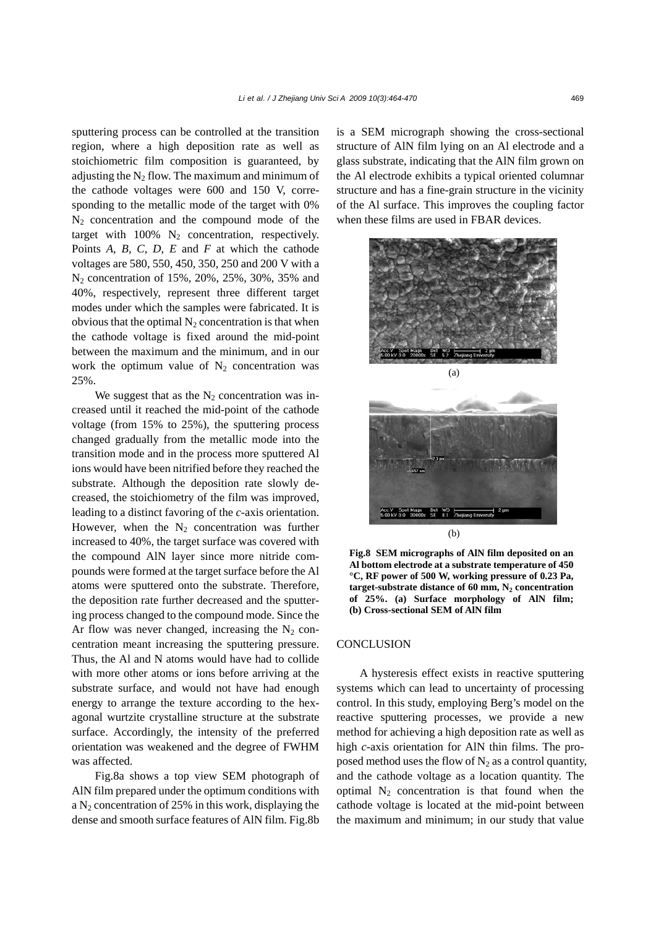sputtering process can be controlled at the transition region, where a high deposition rate as well as stoichiometric film composition is guaranteed, by adjusting the  $N_2$  flow. The maximum and minimum of the cathode voltages were 600 and 150 V, corresponding to the metallic mode of the target with 0%  $N_2$  concentration and the compound mode of the target with  $100\%$  N<sub>2</sub> concentration, respectively. Points *A*, *B*, *C*, *D*, *E* and *F* at which the cathode voltages are 580, 550, 450, 350, 250 and 200 V with a N2 concentration of 15%, 20%, 25%, 30%, 35% and 40%, respectively, represent three different target modes under which the samples were fabricated. It is obvious that the optimal  $N_2$  concentration is that when the cathode voltage is fixed around the mid-point between the maximum and the minimum, and in our work the optimum value of  $N_2$  concentration was 25%.

We suggest that as the  $N<sub>2</sub>$  concentration was increased until it reached the mid-point of the cathode voltage (from 15% to 25%), the sputtering process changed gradually from the metallic mode into the transition mode and in the process more sputtered Al ions would have been nitrified before they reached the substrate. Although the deposition rate slowly decreased, the stoichiometry of the film was improved, leading to a distinct favoring of the *c*-axis orientation. However, when the  $N_2$  concentration was further increased to 40%, the target surface was covered with the compound AlN layer since more nitride compounds were formed at the target surface before the Al atoms were sputtered onto the substrate. Therefore, the deposition rate further decreased and the sputtering process changed to the compound mode. Since the Ar flow was never changed, increasing the  $N_2$  concentration meant increasing the sputtering pressure. Thus, the Al and N atoms would have had to collide with more other atoms or ions before arriving at the substrate surface, and would not have had enough energy to arrange the texture according to the hexagonal wurtzite crystalline structure at the substrate surface. Accordingly, the intensity of the preferred orientation was weakened and the degree of FWHM was affected.

Fig.8a shows a top view SEM photograph of AlN film prepared under the optimum conditions with a  $N_2$  concentration of 25% in this work, displaying the dense and smooth surface features of AlN film. Fig.8b is a SEM micrograph showing the cross-sectional structure of AlN film lying on an Al electrode and a glass substrate, indicating that the AlN film grown on the Al electrode exhibits a typical oriented columnar structure and has a fine-grain structure in the vicinity of the Al surface. This improves the coupling factor when these films are used in FBAR devices.



**Fig.8 SEM micrographs of AlN film deposited on an Al bottom electrode at a substrate temperature of 450 °C, RF power of 500 W, working pressure of 0.23 Pa,** target-substrate distance of 60 mm, N<sub>2</sub> concentration **of 25%. (a) Surface morphology of AlN film; (b) Cross-sectional SEM of AlN film** 

(b)

#### **CONCLUSION**

A hysteresis effect exists in reactive sputtering systems which can lead to uncertainty of processing control. In this study, employing Berg's model on the reactive sputtering processes, we provide a new method for achieving a high deposition rate as well as high *c*-axis orientation for AlN thin films. The proposed method uses the flow of  $N_2$  as a control quantity, and the cathode voltage as a location quantity. The optimal  $N_2$  concentration is that found when the cathode voltage is located at the mid-point between the maximum and minimum; in our study that value